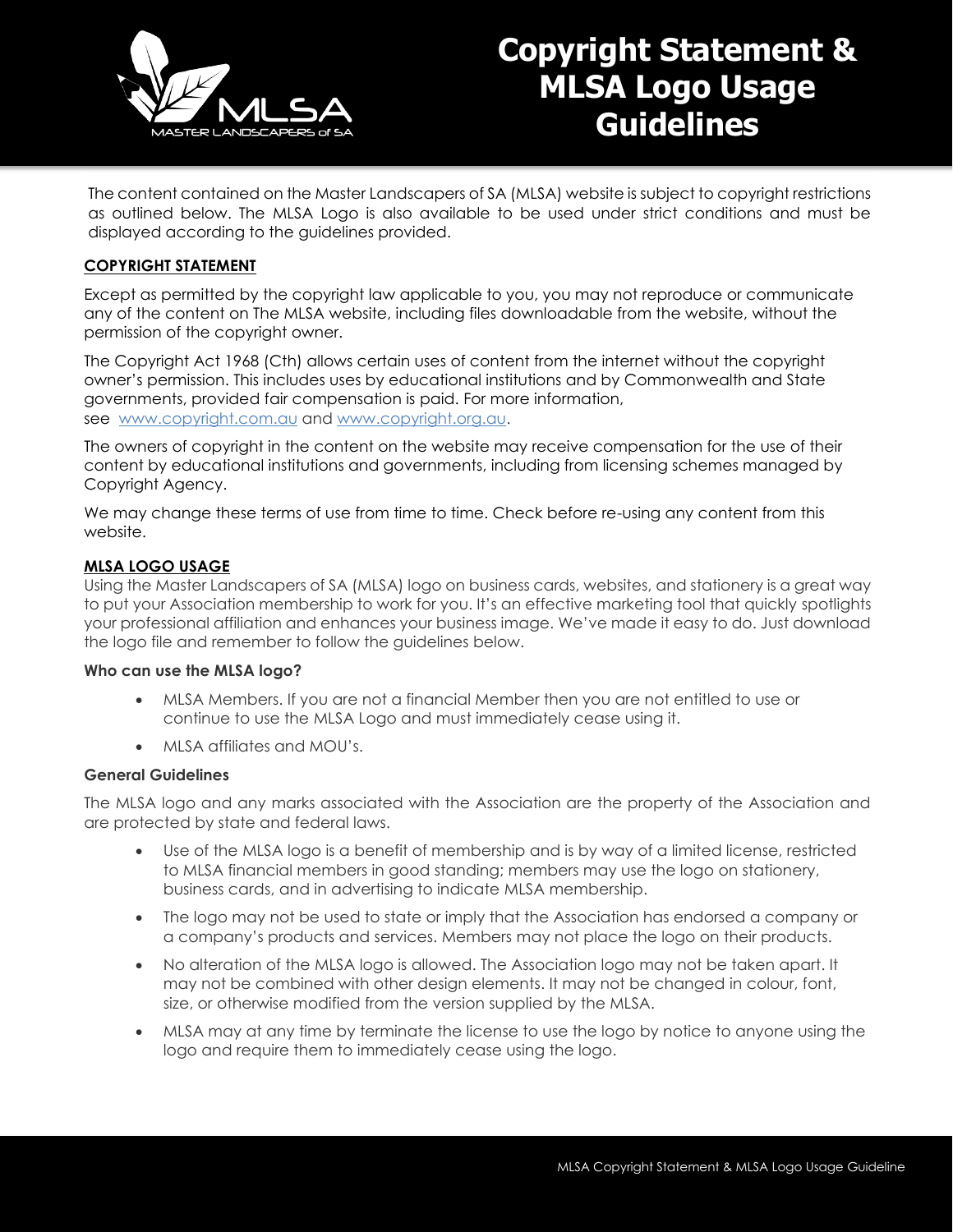

# **Copyright Statement & MLSA Logo Usage Guidelines**

The content contained on the Master Landscapers of SA (MLSA) website is subject to copyright restrictions as outlined below. The MLSA Logo is also available to be used under strict conditions and must be displayed according to the guidelines provided.

### **COPYRIGHT STATEMENT**

Except as permitted by the copyright law applicable to you, you may not reproduce or communicate any of the content on The MLSA website, including files downloadable from the website, without the permission of the copyright owner.

The Copyright Act 1968 (Cth) allows certain uses of content from the internet without the copyright owner's permission. This includes uses by educational institutions and by Commonwealth and State governments, provided fair compensation is paid. For more information, see [www.copyright.com.au](https://www.copyright.com.au/) and [www.copyright.org.au.](https://www.copyright.org.au/)

The owners of copyright in the content on the website may receive compensation for the use of their content by educational institutions and governments, including from licensing schemes managed by Copyright Agency.

We may change these terms of use from time to time. Check before re-using any content from this website.

### **MLSA LOGO USAGE**

Using the Master Landscapers of SA (MLSA) logo on business cards, websites, and stationery is a great way to put your Association membership to work for you. It's an effective marketing tool that quickly spotlights your professional affiliation and enhances your business image. We've made it easy to do. Just download the logo file and remember to follow the guidelines below.

### **Who can use the MLSA logo?**

- MLSA Members. If you are not a financial Member then you are not entitled to use or continue to use the MLSA Logo and must immediately cease using it.
- MLSA affiliates and MOU's.

### **General Guidelines**

The MLSA logo and any marks associated with the Association are the property of the Association and are protected by state and federal laws.

- Use of the MLSA logo is a benefit of membership and is by way of a limited license, restricted to MLSA financial members in good standing; members may use the logo on stationery, business cards, and in advertising to indicate MLSA membership.
- The logo may not be used to state or imply that the Association has endorsed a company or a company's products and services. Members may not place the logo on their products.
- No alteration of the MLSA logo is allowed. The Association logo may not be taken apart. It may not be combined with other design elements. It may not be changed in colour, font, size, or otherwise modified from the version supplied by the MLSA.
- MLSA may at any time by terminate the license to use the logo by notice to anyone using the logo and require them to immediately cease using the logo.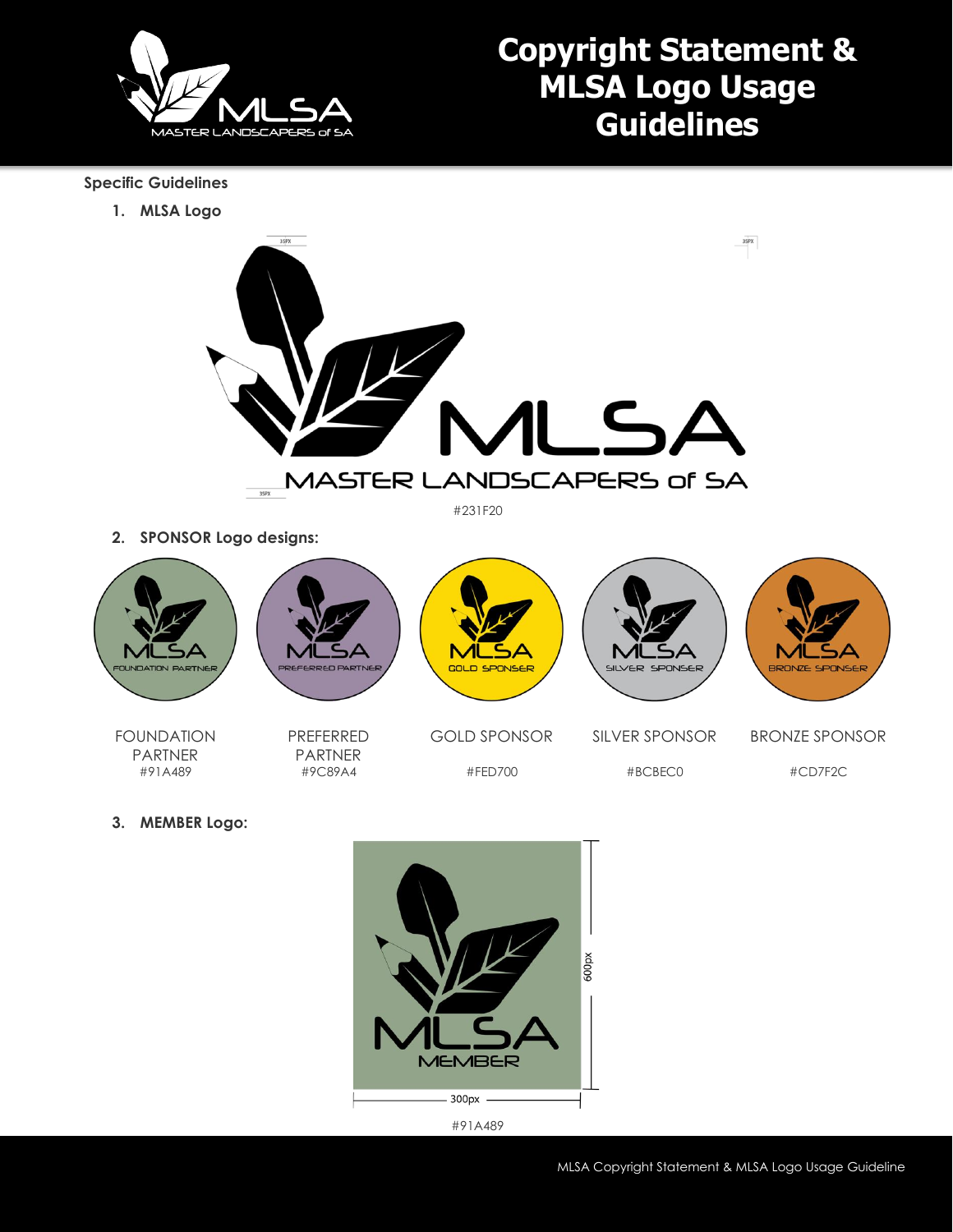

## **Copyright Statement & MLSA Logo Usage Guidelines**

### **Specific Guidelines**

**1. MLSA Logo**



#231F20

**2. SPONSOR Logo designs:**



FOUNDATION PARTNER #91A489

PREFERRED PARTNER #9C89A4

GOLD SPONSOR #FED700

#BCBEC0

BRONZE SPONSOR #CD7F2C

**3. MEMBER Logo:**



#91A489